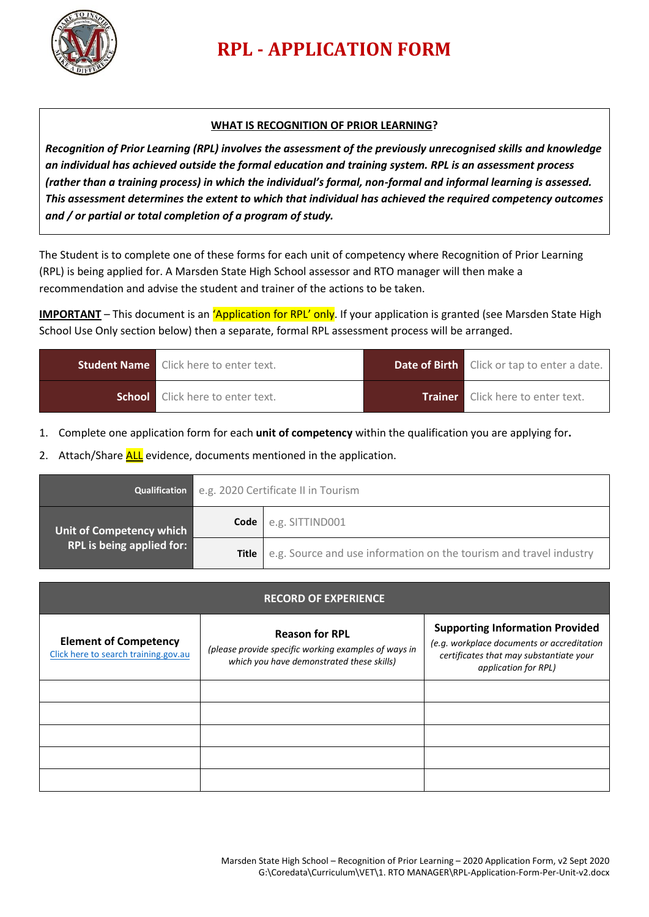

## **RPL - APPLICATION FORM**

## **WHAT IS RECOGNITION OF PRIOR LEARNING?**

*Recognition of Prior Learning (RPL) involves the assessment of the previously unrecognised skills and knowledge an individual has achieved outside the formal education and training system. RPL is an assessment process (rather than a training process) in which the individual's formal, non-formal and informal learning is assessed. This assessment determines the extent to which that individual has achieved the required competency outcomes and / or partial or total completion of a program of study.*

The Student is to complete one of these forms for each unit of competency where Recognition of Prior Learning (RPL) is being applied for. A Marsden State High School assessor and RTO manager will then make a recommendation and advise the student and trainer of the actions to be taken.

**IMPORTANT** – This document is an *'Application for RPL' only*. If your application is granted (see Marsden State High School Use Only section below) then a separate, formal RPL assessment process will be arranged.

| <b>Student Name</b> Click here to enter text. | <b>Date of Birth</b> Click or tap to enter a date. |
|-----------------------------------------------|----------------------------------------------------|
| <b>School</b> Click here to enter text.       | <b>Trainer</b> Click here to enter text.           |

1. Complete one application form for each **unit of competency** within the qualification you are applying for**.**

2. Attach/Share ALL evidence, documents mentioned in the application.

|                                  | Qualification e.g. 2020 Certificate II in Tourism |                                                                            |  |
|----------------------------------|---------------------------------------------------|----------------------------------------------------------------------------|--|
| Unit of Competency which         | Code                                              | e.g. SITTIND001                                                            |  |
| <b>RPL is being applied for:</b> |                                                   | Title   e.g. Source and use information on the tourism and travel industry |  |

| <b>RECORD OF EXPERIENCE</b>                                          |                                                                                                                            |                                                                                                                                                         |  |  |  |
|----------------------------------------------------------------------|----------------------------------------------------------------------------------------------------------------------------|---------------------------------------------------------------------------------------------------------------------------------------------------------|--|--|--|
| <b>Element of Competency</b><br>Click here to search training.gov.au | <b>Reason for RPL</b><br>(please provide specific working examples of ways in<br>which you have demonstrated these skills) | <b>Supporting Information Provided</b><br>(e.g. workplace documents or accreditation<br>certificates that may substantiate your<br>application for RPL) |  |  |  |
|                                                                      |                                                                                                                            |                                                                                                                                                         |  |  |  |
|                                                                      |                                                                                                                            |                                                                                                                                                         |  |  |  |
|                                                                      |                                                                                                                            |                                                                                                                                                         |  |  |  |
|                                                                      |                                                                                                                            |                                                                                                                                                         |  |  |  |
|                                                                      |                                                                                                                            |                                                                                                                                                         |  |  |  |